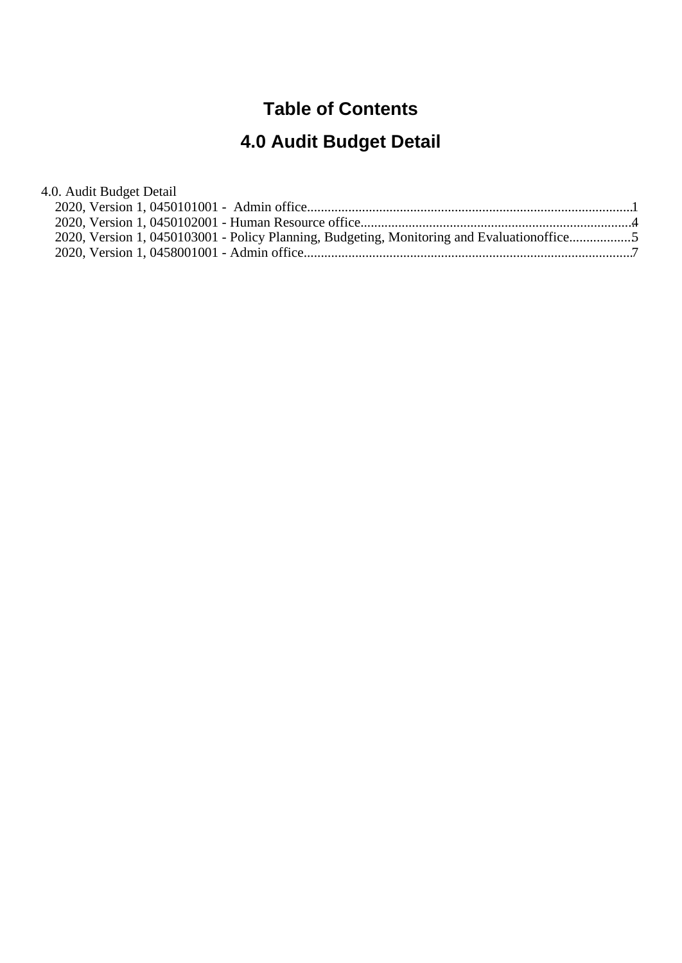## **Table of Contents**

# **4.0 Audit Budget Detail**

| 4.0. Audit Budget Detail                                                                   |  |
|--------------------------------------------------------------------------------------------|--|
|                                                                                            |  |
|                                                                                            |  |
| 2020, Version 1, 0450103001 - Policy Planning, Budgeting, Monitoring and Evaluationoffice5 |  |
|                                                                                            |  |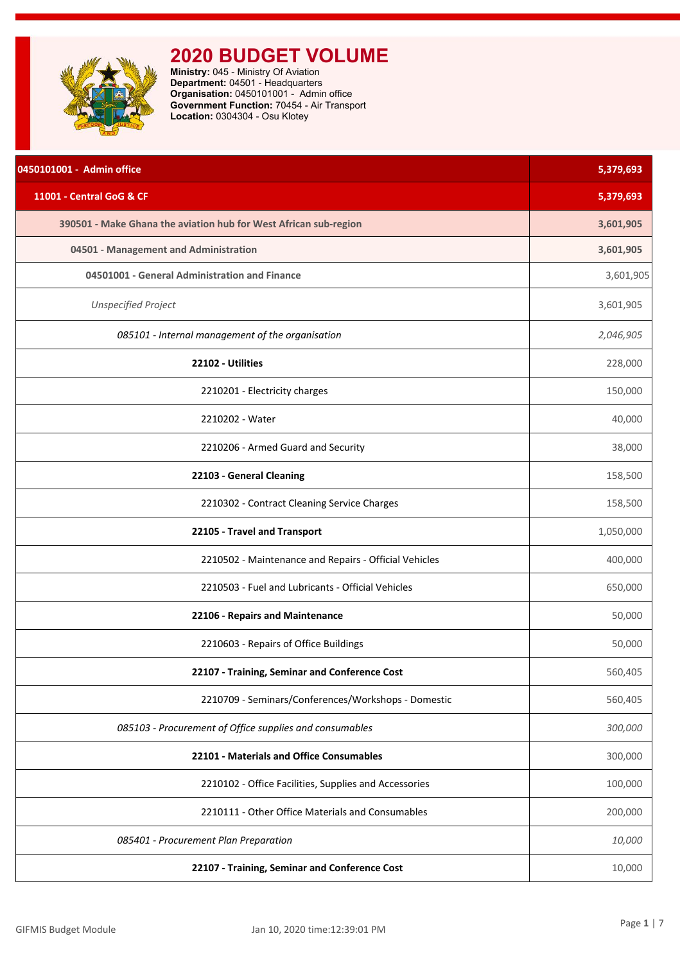<span id="page-1-0"></span>

**Ministry:** 045 - Ministry Of Aviation **Department:** 04501 - Headquarters **Organisation:** 0450101001 - Admin office **Government Function:** 70454 - Air Transport **Location:** 0304304 - Osu Klotey

| 0450101001 - Admin office                                        | 5,379,693 |
|------------------------------------------------------------------|-----------|
| 11001 - Central GoG & CF                                         | 5,379,693 |
| 390501 - Make Ghana the aviation hub for West African sub-region | 3,601,905 |
| 04501 - Management and Administration                            | 3,601,905 |
| 04501001 - General Administration and Finance                    | 3,601,905 |
| <b>Unspecified Project</b>                                       | 3,601,905 |
| 085101 - Internal management of the organisation                 | 2,046,905 |
| 22102 - Utilities                                                | 228,000   |
| 2210201 - Electricity charges                                    | 150,000   |
| 2210202 - Water                                                  | 40,000    |
| 2210206 - Armed Guard and Security                               | 38,000    |
| 22103 - General Cleaning                                         | 158,500   |
| 2210302 - Contract Cleaning Service Charges                      | 158,500   |
| 22105 - Travel and Transport                                     | 1,050,000 |
| 2210502 - Maintenance and Repairs - Official Vehicles            | 400,000   |
| 2210503 - Fuel and Lubricants - Official Vehicles                | 650,000   |
| 22106 - Repairs and Maintenance                                  | 50,000    |
| 2210603 - Repairs of Office Buildings                            | 50,000    |
| 22107 - Training, Seminar and Conference Cost                    | 560,405   |
| 2210709 - Seminars/Conferences/Workshops - Domestic              | 560,405   |
| 085103 - Procurement of Office supplies and consumables          | 300,000   |
| 22101 - Materials and Office Consumables                         | 300,000   |
| 2210102 - Office Facilities, Supplies and Accessories            | 100,000   |
| 2210111 - Other Office Materials and Consumables                 | 200,000   |
| 085401 - Procurement Plan Preparation                            | 10,000    |
| 22107 - Training, Seminar and Conference Cost                    | 10,000    |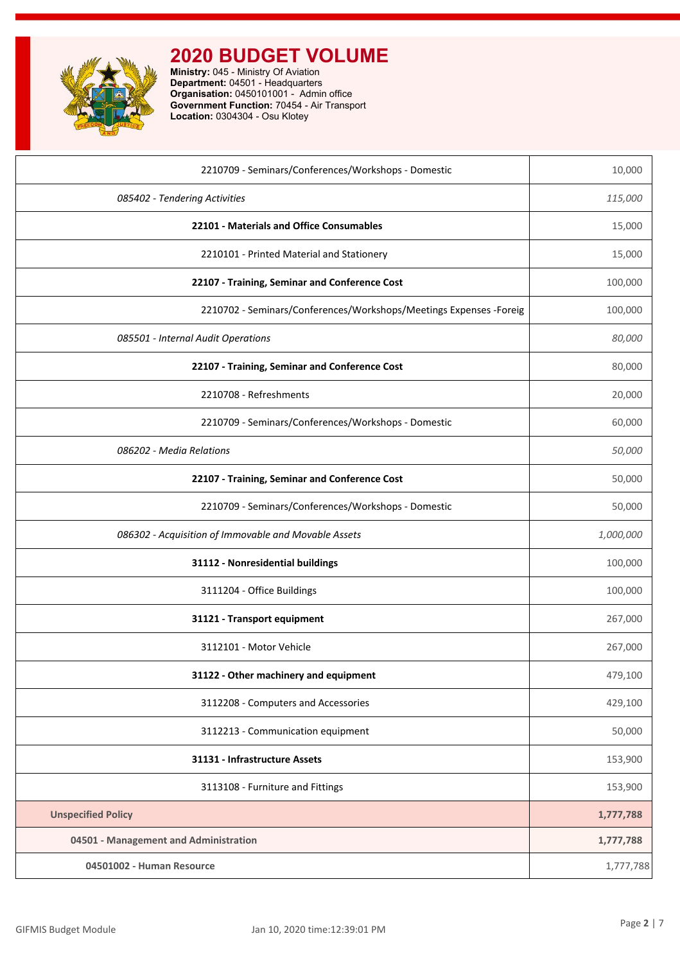

**Ministry:** 045 - Ministry Of Aviation **Department:** 04501 - Headquarters **Organisation:** 0450101001 - Admin office **Government Function:** 70454 - Air Transport **Location:** 0304304 - Osu Klotey

| 2210709 - Seminars/Conferences/Workshops - Domestic                 | 10,000    |
|---------------------------------------------------------------------|-----------|
| 085402 - Tendering Activities                                       | 115,000   |
| 22101 - Materials and Office Consumables                            | 15,000    |
| 2210101 - Printed Material and Stationery                           | 15,000    |
| 22107 - Training, Seminar and Conference Cost                       | 100,000   |
| 2210702 - Seminars/Conferences/Workshops/Meetings Expenses - Foreig | 100,000   |
| 085501 - Internal Audit Operations                                  | 80,000    |
| 22107 - Training, Seminar and Conference Cost                       | 80,000    |
| 2210708 - Refreshments                                              | 20,000    |
| 2210709 - Seminars/Conferences/Workshops - Domestic                 | 60,000    |
| 086202 - Media Relations                                            | 50,000    |
| 22107 - Training, Seminar and Conference Cost                       | 50,000    |
| 2210709 - Seminars/Conferences/Workshops - Domestic                 | 50,000    |
| 086302 - Acquisition of Immovable and Movable Assets                | 1,000,000 |
| 31112 - Nonresidential buildings                                    | 100,000   |
| 3111204 - Office Buildings                                          | 100,000   |
| 31121 - Transport equipment                                         | 267,000   |
| 3112101 - Motor Vehicle                                             | 267,000   |
| 31122 - Other machinery and equipment                               | 479,100   |
| 3112208 - Computers and Accessories                                 | 429,100   |
| 3112213 - Communication equipment                                   | 50,000    |
| 31131 - Infrastructure Assets                                       | 153,900   |
| 3113108 - Furniture and Fittings                                    | 153,900   |
| <b>Unspecified Policy</b>                                           | 1,777,788 |
| 04501 - Management and Administration                               | 1,777,788 |
| 04501002 - Human Resource                                           | 1,777,788 |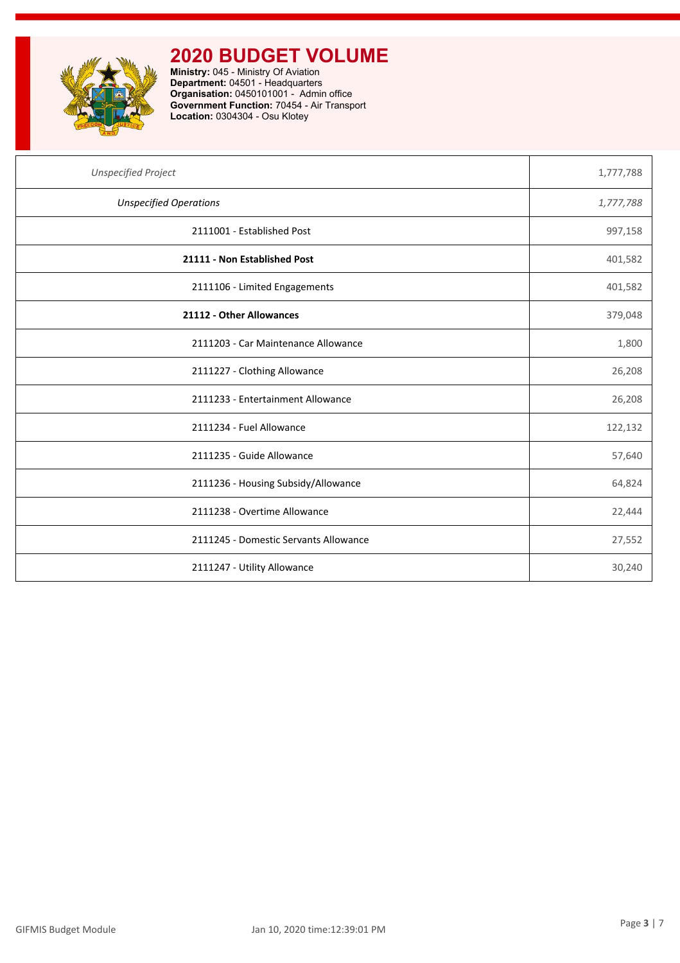

**Ministry:** 045 - Ministry Of Aviation **Department:** 04501 - Headquarters **Organisation:** 0450101001 - Admin office **Government Function:** 70454 - Air Transport **Location:** 0304304 - Osu Klotey

| <b>Unspecified Project</b>            | 1,777,788 |
|---------------------------------------|-----------|
| <b>Unspecified Operations</b>         | 1,777,788 |
| 2111001 - Established Post            | 997,158   |
| 21111 - Non Established Post          | 401,582   |
| 2111106 - Limited Engagements         | 401,582   |
| 21112 - Other Allowances              | 379,048   |
| 2111203 - Car Maintenance Allowance   | 1,800     |
| 2111227 - Clothing Allowance          | 26,208    |
| 2111233 - Entertainment Allowance     | 26,208    |
| 2111234 - Fuel Allowance              | 122,132   |
| 2111235 - Guide Allowance             | 57,640    |
| 2111236 - Housing Subsidy/Allowance   | 64,824    |
| 2111238 - Overtime Allowance          | 22,444    |
| 2111245 - Domestic Servants Allowance | 27,552    |
| 2111247 - Utility Allowance           | 30,240    |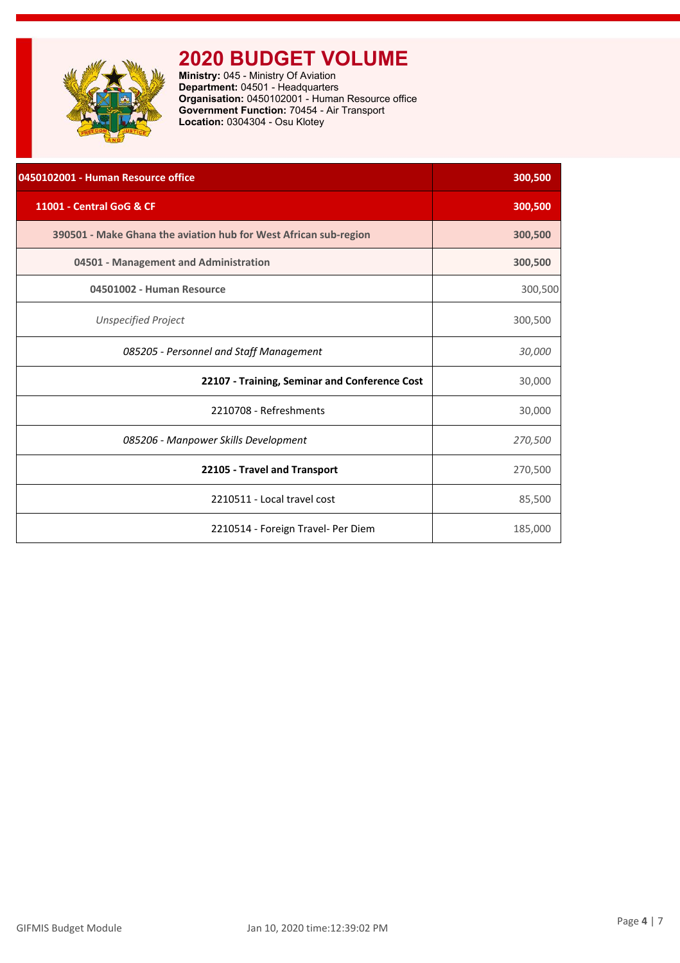<span id="page-4-0"></span>

**Ministry:** 045 - Ministry Of Aviation **Department:** 04501 - Headquarters **Organisation:** 0450102001 - Human Resource office **Government Function:** 70454 - Air Transport **Location:** 0304304 - Osu Klotey

| 0450102001 - Human Resource office                               | 300,500 |
|------------------------------------------------------------------|---------|
| 11001 - Central GoG & CF                                         | 300,500 |
| 390501 - Make Ghana the aviation hub for West African sub-region | 300,500 |
| 04501 - Management and Administration                            | 300,500 |
| 04501002 - Human Resource                                        | 300,500 |
| <b>Unspecified Project</b>                                       | 300,500 |
| 085205 - Personnel and Staff Management                          | 30,000  |
| 22107 - Training, Seminar and Conference Cost                    | 30,000  |
| 2210708 - Refreshments                                           | 30,000  |
| 085206 - Manpower Skills Development                             | 270,500 |
| 22105 - Travel and Transport                                     | 270,500 |
| 2210511 - Local travel cost                                      | 85,500  |
| 2210514 - Foreign Travel- Per Diem                               | 185,000 |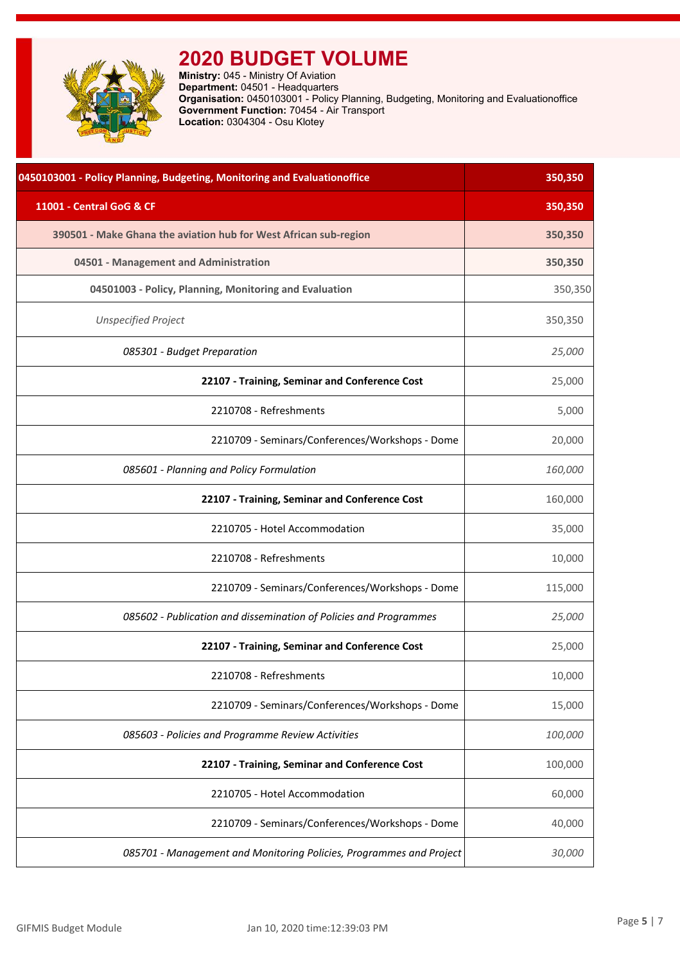<span id="page-5-0"></span>**Ministry:** 045 - Ministry Of Aviation **Department:** 04501 - Headquarters **Organisation:** 0450103001 - Policy Planning, Budgeting, Monitoring and Evaluationoffice **Government Function:** 70454 - Air Transport **Location:** 0304304 - Osu Klotey

| 0450103001 - Policy Planning, Budgeting, Monitoring and Evaluationoffice | 350,350 |
|--------------------------------------------------------------------------|---------|
| 11001 - Central GoG & CF                                                 | 350,350 |
| 390501 - Make Ghana the aviation hub for West African sub-region         | 350,350 |
| 04501 - Management and Administration                                    | 350,350 |
| 04501003 - Policy, Planning, Monitoring and Evaluation                   | 350,350 |
| <b>Unspecified Project</b>                                               | 350,350 |
| 085301 - Budget Preparation                                              | 25,000  |
| 22107 - Training, Seminar and Conference Cost                            | 25,000  |
| 2210708 - Refreshments                                                   | 5,000   |
| 2210709 - Seminars/Conferences/Workshops - Dome                          | 20,000  |
| 085601 - Planning and Policy Formulation                                 | 160,000 |
| 22107 - Training, Seminar and Conference Cost                            | 160,000 |
| 2210705 - Hotel Accommodation                                            | 35,000  |
| 2210708 - Refreshments                                                   | 10,000  |
| 2210709 - Seminars/Conferences/Workshops - Dome                          | 115,000 |
| 085602 - Publication and dissemination of Policies and Programmes        | 25,000  |
| 22107 - Training, Seminar and Conference Cost                            | 25,000  |
| 2210708 - Refreshments                                                   | 10,000  |
| 2210709 - Seminars/Conferences/Workshops - Dome                          | 15,000  |
| 085603 - Policies and Programme Review Activities                        | 100,000 |
| 22107 - Training, Seminar and Conference Cost                            | 100,000 |
| 2210705 - Hotel Accommodation                                            | 60,000  |
| 2210709 - Seminars/Conferences/Workshops - Dome                          | 40,000  |
| 085701 - Management and Monitoring Policies, Programmes and Project      | 30,000  |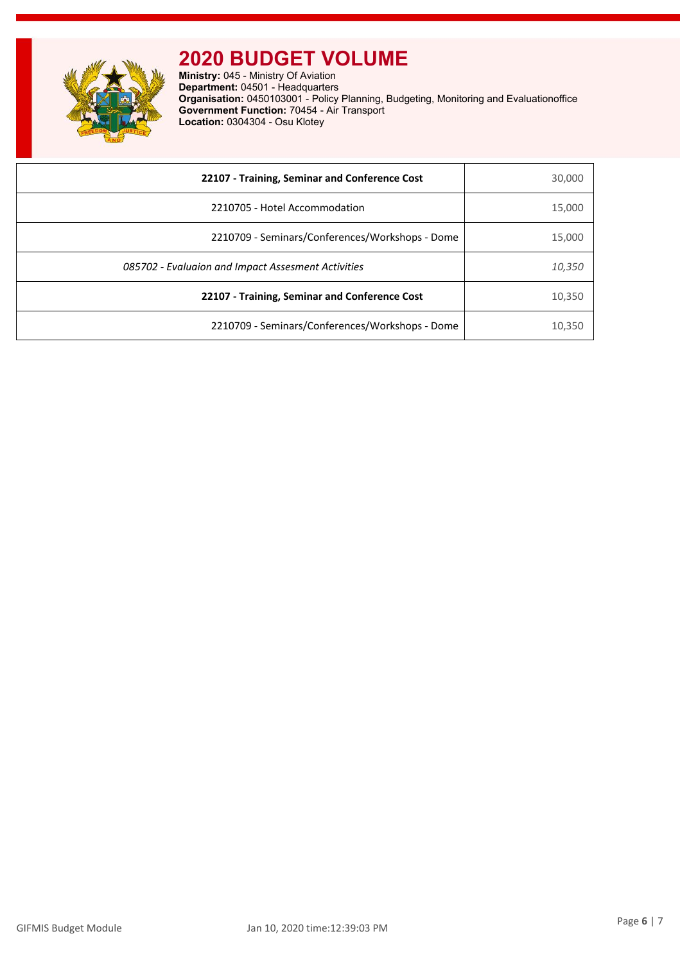

**Ministry:** 045 - Ministry Of Aviation **Department:** 04501 - Headquarters **Organisation:** 0450103001 - Policy Planning, Budgeting, Monitoring and Evaluationoffice **Government Function:** 70454 - Air Transport **Location:** 0304304 - Osu Klotey

| 22107 - Training, Seminar and Conference Cost      | 30,000 |
|----------------------------------------------------|--------|
| 2210705 - Hotel Accommodation                      | 15,000 |
| 2210709 - Seminars/Conferences/Workshops - Dome    | 15,000 |
| 085702 - Evaluaion and Impact Assesment Activities | 10,350 |
| 22107 - Training, Seminar and Conference Cost      | 10,350 |
| 2210709 - Seminars/Conferences/Workshops - Dome    | 10,350 |